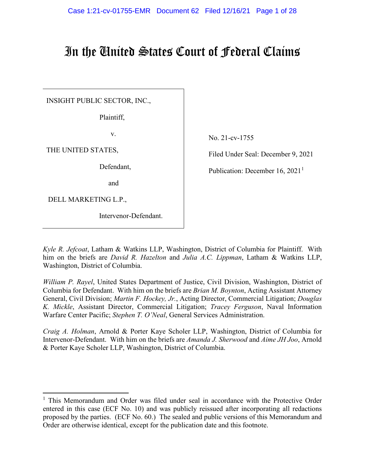# In the United States Court of Federal Claims

INSIGHT PUBLIC SECTOR, INC.,

Plaintiff,

v.

THE UNITED STATES,

Defendant,

and

DELL MARKETING L.P.,

Intervenor-Defendant.

No. 21-cv-1755

Filed Under Seal: December 9, 2021

Publication: December [1](#page-0-0)6,  $2021<sup>1</sup>$ 

*Kyle R. Jefcoat*, Latham & Watkins LLP, Washington, District of Columbia for Plaintiff. With him on the briefs are *David R. Hazelton* and *Julia A.C. Lippman*, Latham & Watkins LLP, Washington, District of Columbia.

*William P. Rayel*, United States Department of Justice, Civil Division, Washington, District of Columbia for Defendant. With him on the briefs are *Brian M. Boynton*, Acting Assistant Attorney General, Civil Division; *Martin F. Hockey, Jr.*, Acting Director, Commercial Litigation; *Douglas K. Mickle*, Assistant Director, Commercial Litigation; *Tracey Ferguson*, Naval Information Warfare Center Pacific; *Stephen T. O'Neal*, General Services Administration.

*Craig A. Holman*, Arnold & Porter Kaye Scholer LLP, Washington, District of Columbia for Intervenor-Defendant. With him on the briefs are *Amanda J. Sherwood* and *Aime JH Joo*, Arnold & Porter Kaye Scholer LLP, Washington, District of Columbia.

<span id="page-0-0"></span><sup>&</sup>lt;sup>1</sup> This Memorandum and Order was filed under seal in accordance with the Protective Order entered in this case (ECF No. 10) and was publicly reissued after incorporating all redactions proposed by the parties. (ECF No. 60.) The sealed and public versions of this Memorandum and Order are otherwise identical, except for the publication date and this footnote.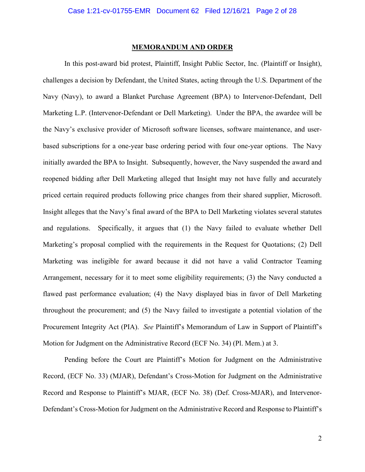## **MEMORANDUM AND ORDER**

In this post-award bid protest, Plaintiff, Insight Public Sector, Inc. (Plaintiff or Insight), challenges a decision by Defendant, the United States, acting through the U.S. Department of the Navy (Navy), to award a Blanket Purchase Agreement (BPA) to Intervenor-Defendant, Dell Marketing L.P. (Intervenor-Defendant or Dell Marketing). Under the BPA, the awardee will be the Navy's exclusive provider of Microsoft software licenses, software maintenance, and userbased subscriptions for a one-year base ordering period with four one-year options. The Navy initially awarded the BPA to Insight. Subsequently, however, the Navy suspended the award and reopened bidding after Dell Marketing alleged that Insight may not have fully and accurately priced certain required products following price changes from their shared supplier, Microsoft. Insight alleges that the Navy's final award of the BPA to Dell Marketing violates several statutes and regulations. Specifically, it argues that (1) the Navy failed to evaluate whether Dell Marketing's proposal complied with the requirements in the Request for Quotations; (2) Dell Marketing was ineligible for award because it did not have a valid Contractor Teaming Arrangement, necessary for it to meet some eligibility requirements; (3) the Navy conducted a flawed past performance evaluation; (4) the Navy displayed bias in favor of Dell Marketing throughout the procurement; and (5) the Navy failed to investigate a potential violation of the Procurement Integrity Act (PIA). *See* Plaintiff's Memorandum of Law in Support of Plaintiff's Motion for Judgment on the Administrative Record (ECF No. 34) (Pl. Mem.) at 3.

Pending before the Court are Plaintiff's Motion for Judgment on the Administrative Record, (ECF No. 33) (MJAR), Defendant's Cross-Motion for Judgment on the Administrative Record and Response to Plaintiff's MJAR, (ECF No. 38) (Def. Cross-MJAR), and Intervenor-Defendant's Cross-Motion for Judgment on the Administrative Record and Response to Plaintiff's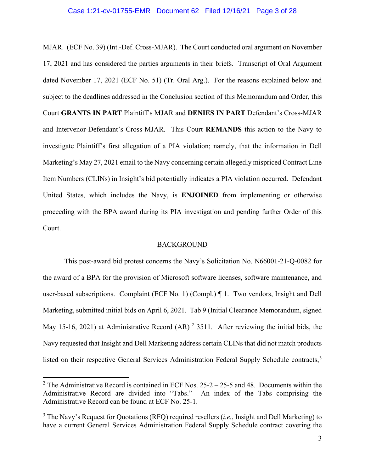## Case 1:21-cv-01755-EMR Document 62 Filed 12/16/21 Page 3 of 28

MJAR. (ECF No. 39) (Int.-Def. Cross-MJAR). The Court conducted oral argument on November 17, 2021 and has considered the parties arguments in their briefs. Transcript of Oral Argument dated November 17, 2021 (ECF No. 51) (Tr. Oral Arg.). For the reasons explained below and subject to the deadlines addressed in the Conclusion section of this Memorandum and Order, this Court **GRANTS IN PART** Plaintiff's MJAR and **DENIES IN PART** Defendant's Cross-MJAR and Intervenor-Defendant's Cross-MJAR. This Court **REMANDS** this action to the Navy to investigate Plaintiff's first allegation of a PIA violation; namely, that the information in Dell Marketing's May 27, 2021 email to the Navy concerning certain allegedly mispriced Contract Line Item Numbers (CLINs) in Insight's bid potentially indicates a PIA violation occurred. Defendant United States, which includes the Navy, is **ENJOINED** from implementing or otherwise proceeding with the BPA award during its PIA investigation and pending further Order of this Court.

## **BACKGROUND**

This post-award bid protest concerns the Navy's Solicitation No. N66001-21-Q-0082 for the award of a BPA for the provision of Microsoft software licenses, software maintenance, and user-based subscriptions. Complaint (ECF No. 1) (Compl.) ¶ 1. Two vendors, Insight and Dell Marketing, submitted initial bids on April 6, 2021. Tab 9 (Initial Clearance Memorandum, signed May 15-16, [2](#page-2-0)021) at Administrative Record  $(AR)^2$  3511. After reviewing the initial bids, the Navy requested that Insight and Dell Marketing address certain CLINs that did not match products listed on their respective General Services Administration Federal Supply Schedule contracts,<sup>[3](#page-2-1)</sup>

<span id="page-2-0"></span><sup>&</sup>lt;sup>2</sup> The Administrative Record is contained in ECF Nos.  $25-2 - 25-5$  and 48. Documents within the Administrative Record are divided into "Tabs." An index of the Tabs comprising the Administrative Record can be found at ECF No. 25-1.

<span id="page-2-1"></span><sup>3</sup> The Navy's Request for Quotations (RFQ) required resellers (*i.e.*, Insight and Dell Marketing) to have a current General Services Administration Federal Supply Schedule contract covering the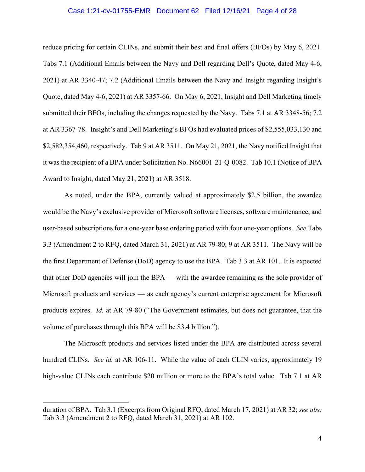## Case 1:21-cv-01755-EMR Document 62 Filed 12/16/21 Page 4 of 28

reduce pricing for certain CLINs, and submit their best and final offers (BFOs) by May 6, 2021. Tabs 7.1 (Additional Emails between the Navy and Dell regarding Dell's Quote, dated May 4-6, 2021) at AR 3340-47; 7.2 (Additional Emails between the Navy and Insight regarding Insight's Quote, dated May 4-6, 2021) at AR 3357-66. On May 6, 2021, Insight and Dell Marketing timely submitted their BFOs, including the changes requested by the Navy. Tabs 7.1 at AR 3348-56; 7.2 at AR 3367-78. Insight's and Dell Marketing's BFOs had evaluated prices of \$2,555,033,130 and \$2,582,354,460, respectively. Tab 9 at AR 3511. On May 21, 2021, the Navy notified Insight that it was the recipient of a BPA under Solicitation No. N66001-21-Q-0082. Tab 10.1 (Notice of BPA Award to Insight, dated May 21, 2021) at AR 3518.

As noted, under the BPA, currently valued at approximately \$2.5 billion, the awardee would be the Navy's exclusive provider of Microsoft software licenses, software maintenance, and user-based subscriptions for a one-year base ordering period with four one-year options. *See* Tabs 3.3 (Amendment 2 to RFQ, dated March 31, 2021) at AR 79-80; 9 at AR 3511. The Navy will be the first Department of Defense (DoD) agency to use the BPA. Tab 3.3 at AR 101. It is expected that other DoD agencies will join the BPA — with the awardee remaining as the sole provider of Microsoft products and services — as each agency's current enterprise agreement for Microsoft products expires. *Id.* at AR 79-80 ("The Government estimates, but does not guarantee, that the volume of purchases through this BPA will be \$3.4 billion.").

The Microsoft products and services listed under the BPA are distributed across several hundred CLINs. *See id.* at AR 106-11. While the value of each CLIN varies, approximately 19 high-value CLINs each contribute \$20 million or more to the BPA's total value. Tab 7.1 at AR

duration of BPA. Tab 3.1 (Excerpts from Original RFQ, dated March 17, 2021) at AR 32; *see also* Tab 3.3 (Amendment 2 to RFQ, dated March 31, 2021) at AR 102.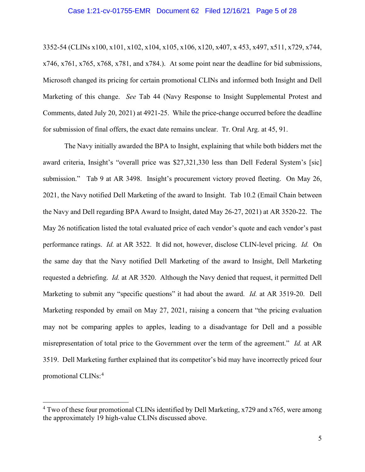## Case 1:21-cv-01755-EMR Document 62 Filed 12/16/21 Page 5 of 28

3352-54 (CLINs x100, x101, x102, x104, x105, x106, x120, x407, x 453, x497, x511, x729, x744, x746, x761, x765, x768, x781, and x784.). At some point near the deadline for bid submissions, Microsoft changed its pricing for certain promotional CLINs and informed both Insight and Dell Marketing of this change. *See* Tab 44 (Navy Response to Insight Supplemental Protest and Comments, dated July 20, 2021) at 4921-25. While the price-change occurred before the deadline for submission of final offers, the exact date remains unclear. Tr. Oral Arg. at 45, 91.

The Navy initially awarded the BPA to Insight, explaining that while both bidders met the award criteria, Insight's "overall price was \$27,321,330 less than Dell Federal System's [sic] submission." Tab 9 at AR 3498. Insight's procurement victory proved fleeting. On May 26, 2021, the Navy notified Dell Marketing of the award to Insight. Tab 10.2 (Email Chain between the Navy and Dell regarding BPA Award to Insight, dated May 26-27, 2021) at AR 3520-22. The May 26 notification listed the total evaluated price of each vendor's quote and each vendor's past performance ratings. *Id.* at AR 3522. It did not, however, disclose CLIN-level pricing. *Id.* On the same day that the Navy notified Dell Marketing of the award to Insight, Dell Marketing requested a debriefing. *Id.* at AR 3520. Although the Navy denied that request, it permitted Dell Marketing to submit any "specific questions" it had about the award. *Id.* at AR 3519-20. Dell Marketing responded by email on May 27, 2021, raising a concern that "the pricing evaluation may not be comparing apples to apples, leading to a disadvantage for Dell and a possible misrepresentation of total price to the Government over the term of the agreement." *Id.* at AR 3519. Dell Marketing further explained that its competitor's bid may have incorrectly priced four promotional CLINs: [4](#page-4-0)

<span id="page-4-0"></span><sup>&</sup>lt;sup>4</sup> Two of these four promotional CLINs identified by Dell Marketing, x729 and x765, were among the approximately 19 high-value CLINs discussed above.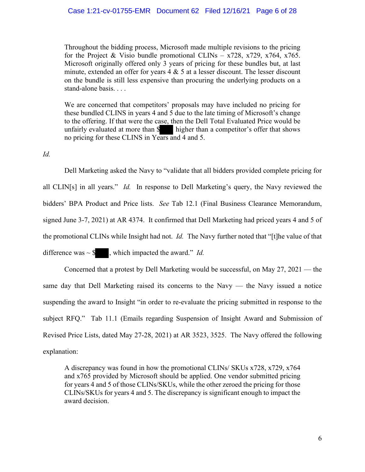## Case 1:21-cv-01755-EMR Document 62 Filed 12/16/21 Page 6 of 28

Throughout the bidding process, Microsoft made multiple revisions to the pricing for the Project & Visio bundle promotional CLINs –  $x728$ ,  $x729$ ,  $x764$ ,  $x765$ . Microsoft originally offered only 3 years of pricing for these bundles but, at last minute, extended an offer for years  $4 \& 5$  at a lesser discount. The lesser discount on the bundle is still less expensive than procuring the underlying products on a stand-alone basis. . . .

We are concerned that competitors' proposals may have included no pricing for these bundled CLINS in years 4 and 5 due to the late timing of Microsoft's change to the offering. If that were the case, then the Dell Total Evaluated Price would be unfairly evaluated at more than  $\$\|$  higher than a competitor's offer that shows no pricing for these CLINS in Years and 4 and 5.

## *Id.*

Dell Marketing asked the Navy to "validate that all bidders provided complete pricing for all CLIN[s] in all years." *Id.* In response to Dell Marketing's query, the Navy reviewed the bidders' BPA Product and Price lists. *See* Tab 12.1 (Final Business Clearance Memorandum, signed June 3-7, 2021) at AR 4374. It confirmed that Dell Marketing had priced years 4 and 5 of the promotional CLINs while Insight had not. *Id.* The Navy further noted that "[t]he value of that difference was  $\sim$  \$, which impacted the award." *Id.* 

 Concerned that a protest by Dell Marketing would be successful, on May 27, 2021 — the same day that Dell Marketing raised its concerns to the Navy — the Navy issued a notice suspending the award to Insight "in order to re-evaluate the pricing submitted in response to the subject RFQ." Tab 11.1 (Emails regarding Suspension of Insight Award and Submission of Revised Price Lists, dated May 27-28, 2021) at AR 3523, 3525. The Navy offered the following explanation:

A discrepancy was found in how the promotional CLINs/ SKUs x728, x729, x764 and x765 provided by Microsoft should be applied. One vendor submitted pricing for years 4 and 5 of those CLINs/SKUs, while the other zeroed the pricing for those CLINs/SKUs for years 4 and 5. The discrepancy is significant enough to impact the award decision.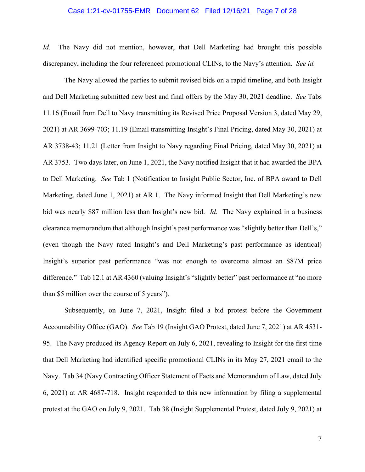## Case 1:21-cv-01755-EMR Document 62 Filed 12/16/21 Page 7 of 28

*Id.* The Navy did not mention, however, that Dell Marketing had brought this possible discrepancy, including the four referenced promotional CLINs, to the Navy's attention. *See id.*

The Navy allowed the parties to submit revised bids on a rapid timeline, and both Insight and Dell Marketing submitted new best and final offers by the May 30, 2021 deadline. *See* Tabs 11.16 (Email from Dell to Navy transmitting its Revised Price Proposal Version 3, dated May 29, 2021) at AR 3699-703; 11.19 (Email transmitting Insight's Final Pricing, dated May 30, 2021) at AR 3738-43; 11.21 (Letter from Insight to Navy regarding Final Pricing, dated May 30, 2021) at AR 3753. Two days later, on June 1, 2021, the Navy notified Insight that it had awarded the BPA to Dell Marketing. *See* Tab 1 (Notification to Insight Public Sector, Inc. of BPA award to Dell Marketing, dated June 1, 2021) at AR 1. The Navy informed Insight that Dell Marketing's new bid was nearly \$87 million less than Insight's new bid. *Id.* The Navy explained in a business clearance memorandum that although Insight's past performance was "slightly better than Dell's," (even though the Navy rated Insight's and Dell Marketing's past performance as identical) Insight's superior past performance "was not enough to overcome almost an \$87M price difference." Tab 12.1 at AR 4360 (valuing Insight's "slightly better" past performance at "no more than \$5 million over the course of 5 years").

Subsequently, on June 7, 2021, Insight filed a bid protest before the Government Accountability Office (GAO). *See* Tab 19 (Insight GAO Protest, dated June 7, 2021) at AR 4531- 95. The Navy produced its Agency Report on July 6, 2021, revealing to Insight for the first time that Dell Marketing had identified specific promotional CLINs in its May 27, 2021 email to the Navy. Tab 34 (Navy Contracting Officer Statement of Facts and Memorandum of Law, dated July 6, 2021) at AR 4687-718. Insight responded to this new information by filing a supplemental protest at the GAO on July 9, 2021. Tab 38 (Insight Supplemental Protest, dated July 9, 2021) at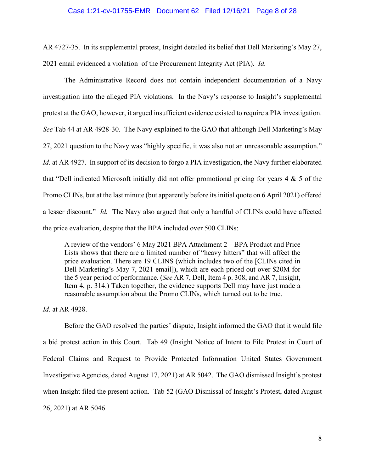## Case 1:21-cv-01755-EMR Document 62 Filed 12/16/21 Page 8 of 28

AR 4727-35. In its supplemental protest, Insight detailed its belief that Dell Marketing's May 27, 2021 email evidenced a violation of the Procurement Integrity Act (PIA). *Id.*

The Administrative Record does not contain independent documentation of a Navy investigation into the alleged PIA violations. In the Navy's response to Insight's supplemental protest at the GAO, however, it argued insufficient evidence existed to require a PIA investigation. *See* Tab 44 at AR 4928-30. The Navy explained to the GAO that although Dell Marketing's May 27, 2021 question to the Navy was "highly specific, it was also not an unreasonable assumption." *Id.* at AR 4927. In support of its decision to forgo a PIA investigation, the Navy further elaborated that "Dell indicated Microsoft initially did not offer promotional pricing for years 4 & 5 of the Promo CLINs, but at the last minute (but apparently before its initial quote on 6 April 2021) offered a lesser discount." *Id.* The Navy also argued that only a handful of CLINs could have affected the price evaluation, despite that the BPA included over 500 CLINs:

A review of the vendors' 6 May 2021 BPA Attachment 2 – BPA Product and Price Lists shows that there are a limited number of "heavy hitters" that will affect the price evaluation. There are 19 CLINS (which includes two of the [CLINs cited in Dell Marketing's May 7, 2021 email]), which are each priced out over \$20M for the 5 year period of performance. (*See* AR 7, Dell, Item 4 p. 308, and AR 7, Insight, Item 4, p. 314.) Taken together, the evidence supports Dell may have just made a reasonable assumption about the Promo CLINs, which turned out to be true.

*Id.* at AR 4928.

Before the GAO resolved the parties' dispute, Insight informed the GAO that it would file a bid protest action in this Court. Tab 49 (Insight Notice of Intent to File Protest in Court of Federal Claims and Request to Provide Protected Information United States Government Investigative Agencies, dated August 17, 2021) at AR 5042. The GAO dismissed Insight's protest when Insight filed the present action. Tab 52 (GAO Dismissal of Insight's Protest, dated August 26, 2021) at AR 5046.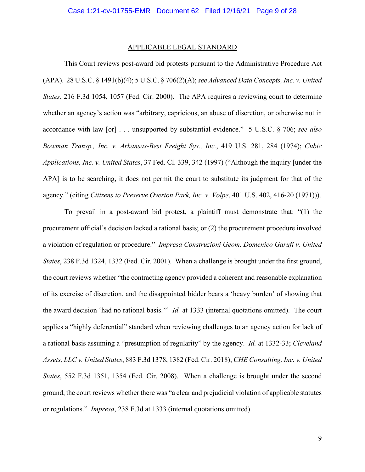#### APPLICABLE LEGAL STANDARD

This Court reviews post-award bid protests pursuant to the Administrative Procedure Act (APA). 28 U.S.C. § 1491(b)(4); 5 U.S.C. § 706(2)(A); *see Advanced Data Concepts, Inc. v. United States*, 216 F.3d 1054, 1057 (Fed. Cir. 2000). The APA requires a reviewing court to determine whether an agency's action was "arbitrary, capricious, an abuse of discretion, or otherwise not in accordance with law [or] . . . unsupported by substantial evidence." 5 U.S.C. § 706; *see also Bowman Transp., Inc. v. Arkansas-Best Freight Sys., Inc.*, 419 U.S. 281, 284 (1974); *Cubic Applications, Inc. v. United States*, 37 Fed. Cl. 339, 342 (1997) ("Although the inquiry [under the APA] is to be searching, it does not permit the court to substitute its judgment for that of the agency." (citing *Citizens to Preserve Overton Park, Inc. v. Volpe*, 401 U.S. 402, 416-20 (1971))).

To prevail in a post-award bid protest, a plaintiff must demonstrate that: "(1) the procurement official's decision lacked a rational basis; or (2) the procurement procedure involved a violation of regulation or procedure." *Impresa Construzioni Geom. Domenico Garufi v. United States*, 238 F.3d 1324, 1332 (Fed. Cir. 2001). When a challenge is brought under the first ground, the court reviews whether "the contracting agency provided a coherent and reasonable explanation of its exercise of discretion, and the disappointed bidder bears a 'heavy burden' of showing that the award decision 'had no rational basis.'" *Id.* at 1333 (internal quotations omitted). The court applies a "highly deferential" standard when reviewing challenges to an agency action for lack of a rational basis assuming a "presumption of regularity" by the agency. *Id.* at 1332-33; *Cleveland Assets, LLC v. United States*, 883 F.3d 1378, 1382 (Fed. Cir. 2018); *CHE Consulting, Inc. v. United States*, 552 F.3d 1351, 1354 (Fed. Cir. 2008). When a challenge is brought under the second ground, the court reviews whether there was "a clear and prejudicial violation of applicable statutes or regulations." *Impresa*, 238 F.3d at 1333 (internal quotations omitted).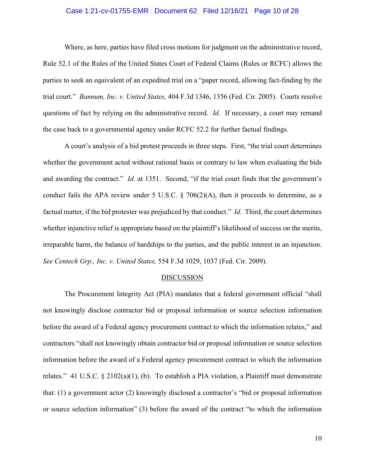## Case 1:21-cv-01755-EMR Document 62 Filed 12/16/21 Page 10 of 28

Where, as here, parties have filed cross motions for judgment on the administrative record, Rule 52.1 of the Rules of the United States Court of Federal Claims (Rules or RCFC) allows the parties to seek an equivalent of an expedited trial on a "paper record, allowing fact-finding by the trial court." *Bannum, Inc. v. United States,* 404 F.3d 1346, 1356 (Fed. Cir. 2005). Courts resolve questions of fact by relying on the administrative record. *Id.* If necessary, a court may remand the case back to a governmental agency under RCFC 52.2 for further factual findings.

A court's analysis of a bid protest proceeds in three steps. First, "the trial court determines whether the government acted without rational basis or contrary to law when evaluating the bids and awarding the contract." *Id.* at 1351. Second, "if the trial court finds that the government's conduct fails the APA review under 5 U.S.C.  $\S$  706(2)(A), then it proceeds to determine, as a factual matter, if the bid protester was prejudiced by that conduct." *Id.* Third, the court determines whether injunctive relief is appropriate based on the plaintiff's likelihood of success on the merits, irreparable harm, the balance of hardships to the parties, and the public interest in an injunction. *See Centech Grp., Inc. v. United States,* 554 F.3d 1029, 1037 (Fed. Cir. 2009).

#### DISCUSSION

The Procurement Integrity Act (PIA) mandates that a federal government official "shall not knowingly disclose contractor bid or proposal information or source selection information before the award of a Federal agency procurement contract to which the information relates," and contractors "shall not knowingly obtain contractor bid or proposal information or source selection information before the award of a Federal agency procurement contract to which the information relates." 41 U.S.C.  $\S 2102(a)(1)$ , (b). To establish a PIA violation, a Plaintiff must demonstrate that: (1) a government actor (2) knowingly disclosed a contractor's "bid or proposal information or source selection information" (3) before the award of the contract "to which the information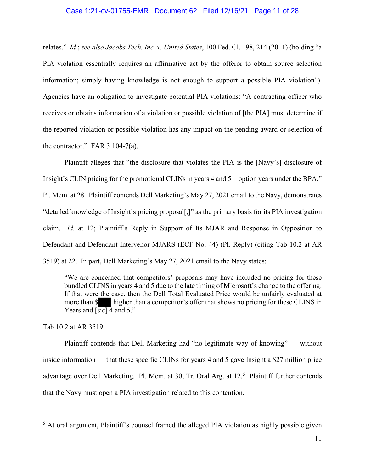## Case 1:21-cv-01755-EMR Document 62 Filed 12/16/21 Page 11 of 28

relates." *Id.*; *see also Jacobs Tech. Inc. v. United States*, 100 Fed. Cl. 198, 214 (2011) (holding "a PIA violation essentially requires an affirmative act by the offeror to obtain source selection information; simply having knowledge is not enough to support a possible PIA violation"). Agencies have an obligation to investigate potential PIA violations: "A contracting officer who receives or obtains information of a violation or possible violation of [the PIA] must determine if the reported violation or possible violation has any impact on the pending award or selection of the contractor." FAR 3.104-7(a).

Plaintiff alleges that "the disclosure that violates the PIA is the [Navy's] disclosure of Insight's CLIN pricing for the promotional CLINs in years 4 and 5—option years under the BPA." Pl. Mem. at 28. Plaintiff contends Dell Marketing's May 27, 2021 email to the Navy, demonstrates "detailed knowledge of Insight's pricing proposal[,]" as the primary basis for its PIA investigation claim. *Id.* at 12; Plaintiff's Reply in Support of Its MJAR and Response in Opposition to Defendant and Defendant-Intervenor MJARS (ECF No. 44) (Pl. Reply) (citing Tab 10.2 at AR 3519) at 22. In part, Dell Marketing's May 27, 2021 email to the Navy states:

"We are concerned that competitors' proposals may have included no pricing for these bundled CLINS in years 4 and 5 due to the late timing of Microsoft's change to the offering. If that were the case, then the Dell Total Evaluated Price would be unfairly evaluated at more than  $\frac{1}{3}$  higher than a competitor's offer that shows no pricing for these CLINS in Years and  $\sqrt{\text{sic}}$  4 and 5."

Tab 10.2 at AR 3519.

Plaintiff contends that Dell Marketing had "no legitimate way of knowing" — without inside information — that these specific CLINs for years 4 and 5 gave Insight a \$27 million price advantage over Dell Marketing. Pl. Mem. at 30; Tr. Oral Arg. at 12.<sup>[5](#page-10-0)</sup> Plaintiff further contends that the Navy must open a PIA investigation related to this contention.

<span id="page-10-0"></span> $<sup>5</sup>$  At oral argument, Plaintiff's counsel framed the alleged PIA violation as highly possible given</sup>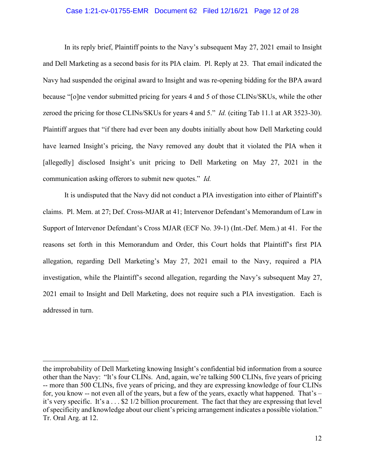## Case 1:21-cv-01755-EMR Document 62 Filed 12/16/21 Page 12 of 28

In its reply brief, Plaintiff points to the Navy's subsequent May 27, 2021 email to Insight and Dell Marketing as a second basis for its PIA claim. Pl. Reply at 23. That email indicated the Navy had suspended the original award to Insight and was re-opening bidding for the BPA award because "[o]ne vendor submitted pricing for years 4 and 5 of those CLINs/SKUs, while the other zeroed the pricing for those CLINs/SKUs for years 4 and 5." *Id.* (citing Tab 11.1 at AR 3523-30). Plaintiff argues that "if there had ever been any doubts initially about how Dell Marketing could have learned Insight's pricing, the Navy removed any doubt that it violated the PIA when it [allegedly] disclosed Insight's unit pricing to Dell Marketing on May 27, 2021 in the communication asking offerors to submit new quotes." *Id.*

It is undisputed that the Navy did not conduct a PIA investigation into either of Plaintiff's claims. Pl. Mem. at 27; Def. Cross-MJAR at 41; Intervenor Defendant's Memorandum of Law in Support of Intervenor Defendant's Cross MJAR (ECF No. 39-1) (Int.-Def. Mem.) at 41. For the reasons set forth in this Memorandum and Order, this Court holds that Plaintiff's first PIA allegation, regarding Dell Marketing's May 27, 2021 email to the Navy, required a PIA investigation, while the Plaintiff's second allegation, regarding the Navy's subsequent May 27, 2021 email to Insight and Dell Marketing, does not require such a PIA investigation. Each is addressed in turn.

the improbability of Dell Marketing knowing Insight's confidential bid information from a source other than the Navy: "It's four CLINs. And, again, we're talking 500 CLINs, five years of pricing -- more than 500 CLINs, five years of pricing, and they are expressing knowledge of four CLINs for, you know -- not even all of the years, but a few of the years, exactly what happened. That's – it's very specific. It's a . . . \$2 1/2 billion procurement. The fact that they are expressing that level of specificity and knowledge about our client's pricing arrangement indicates a possible violation." Tr. Oral Arg. at 12.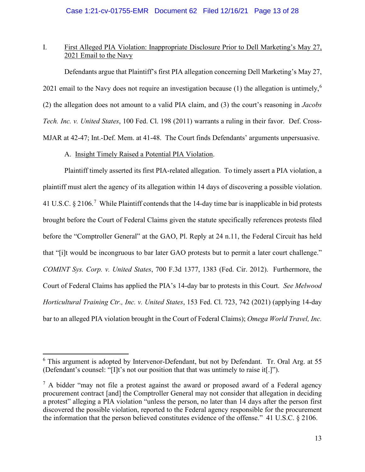# I. First Alleged PIA Violation: Inappropriate Disclosure Prior to Dell Marketing's May 27, 2021 Email to the Navy

Defendants argue that Plaintiff's first PIA allegation concerning Dell Marketing's May 27, 2021 email to the Navy does not require an investigation because (1) the allegation is untimely,<sup>[6](#page-12-0)</sup> (2) the allegation does not amount to a valid PIA claim, and (3) the court's reasoning in *Jacobs Tech. Inc. v. United States*, 100 Fed. Cl. 198 (2011) warrants a ruling in their favor. Def. Cross-MJAR at 42-47; Int.-Def. Mem. at 41-48. The Court finds Defendants' arguments unpersuasive.

## A. Insight Timely Raised a Potential PIA Violation.

Plaintiff timely asserted its first PIA-related allegation. To timely assert a PIA violation, a plaintiff must alert the agency of its allegation within 14 days of discovering a possible violation. 41 U.S.C.  $\S 2106$ .<sup>[7](#page-12-1)</sup> While Plaintiff contends that the 14-day time bar is inapplicable in bid protests brought before the Court of Federal Claims given the statute specifically references protests filed before the "Comptroller General" at the GAO, Pl. Reply at 24 n.11, the Federal Circuit has held that "[i]t would be incongruous to bar later GAO protests but to permit a later court challenge." *COMINT Sys. Corp. v. United States*, 700 F.3d 1377, 1383 (Fed. Cir. 2012). Furthermore, the Court of Federal Claims has applied the PIA's 14-day bar to protests in this Court. *See Melwood Horticultural Training Ctr., Inc. v. United States*, 153 Fed. Cl. 723, 742 (2021) (applying 14-day bar to an alleged PIA violation brought in the Court of Federal Claims); *Omega World Travel, Inc.* 

<span id="page-12-0"></span> $6$  This argument is adopted by Intervenor-Defendant, but not by Defendant. Tr. Oral Arg. at 55 (Defendant's counsel: "[I]t's not our position that that was untimely to raise it[.]").

<span id="page-12-1"></span> $<sup>7</sup>$  A bidder "may not file a protest against the award or proposed award of a Federal agency</sup> procurement contract [and] the Comptroller General may not consider that allegation in deciding a protest" alleging a PIA violation "unless the person, no later than 14 days after the person first discovered the possible violation, reported to the Federal agency responsible for the procurement the information that the person believed constitutes evidence of the offense." 41 U.S.C. § 2106.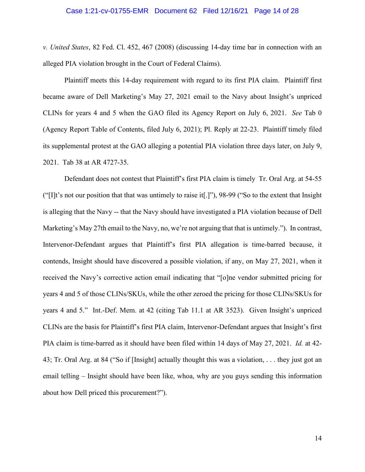## Case 1:21-cv-01755-EMR Document 62 Filed 12/16/21 Page 14 of 28

*v. United States*, 82 Fed. Cl. 452, 467 (2008) (discussing 14-day time bar in connection with an alleged PIA violation brought in the Court of Federal Claims).

Plaintiff meets this 14-day requirement with regard to its first PIA claim. Plaintiff first became aware of Dell Marketing's May 27, 2021 email to the Navy about Insight's unpriced CLINs for years 4 and 5 when the GAO filed its Agency Report on July 6, 2021. *See* Tab 0 (Agency Report Table of Contents, filed July 6, 2021); Pl. Reply at 22-23. Plaintiff timely filed its supplemental protest at the GAO alleging a potential PIA violation three days later, on July 9, 2021. Tab 38 at AR 4727-35.

Defendant does not contest that Plaintiff's first PIA claim is timely Tr. Oral Arg. at 54-55 ("[I]t's not our position that that was untimely to raise it[.]"), 98-99 ("So to the extent that Insight is alleging that the Navy -- that the Navy should have investigated a PIA violation because of Dell Marketing's May 27th email to the Navy, no, we're not arguing that that is untimely."). In contrast, Intervenor-Defendant argues that Plaintiff's first PIA allegation is time-barred because, it contends, Insight should have discovered a possible violation, if any, on May 27, 2021, when it received the Navy's corrective action email indicating that "[o]ne vendor submitted pricing for years 4 and 5 of those CLINs/SKUs, while the other zeroed the pricing for those CLINs/SKUs for years 4 and 5." Int.-Def. Mem. at 42 (citing Tab 11.1 at AR 3523). Given Insight's unpriced CLINs are the basis for Plaintiff's first PIA claim, Intervenor-Defendant argues that Insight's first PIA claim is time-barred as it should have been filed within 14 days of May 27, 2021. *Id.* at 42- 43; Tr. Oral Arg. at 84 ("So if [Insight] actually thought this was a violation, . . . they just got an email telling – Insight should have been like, whoa, why are you guys sending this information about how Dell priced this procurement?").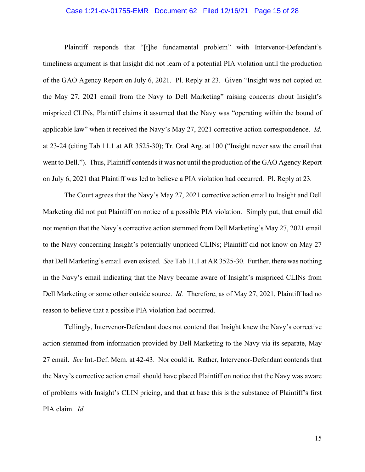## Case 1:21-cv-01755-EMR Document 62 Filed 12/16/21 Page 15 of 28

Plaintiff responds that "[t]he fundamental problem" with Intervenor-Defendant's timeliness argument is that Insight did not learn of a potential PIA violation until the production of the GAO Agency Report on July 6, 2021. Pl. Reply at 23. Given "Insight was not copied on the May 27, 2021 email from the Navy to Dell Marketing" raising concerns about Insight's mispriced CLINs, Plaintiff claims it assumed that the Navy was "operating within the bound of applicable law" when it received the Navy's May 27, 2021 corrective action correspondence. *Id.* at 23-24 (citing Tab 11.1 at AR 3525-30); Tr. Oral Arg. at 100 ("Insight never saw the email that went to Dell."). Thus, Plaintiff contends it was not until the production of the GAO Agency Report on July 6, 2021 that Plaintiff was led to believe a PIA violation had occurred. Pl. Reply at 23*.*

The Court agrees that the Navy's May 27, 2021 corrective action email to Insight and Dell Marketing did not put Plaintiff on notice of a possible PIA violation. Simply put, that email did not mention that the Navy's corrective action stemmed from Dell Marketing's May 27, 2021 email to the Navy concerning Insight's potentially unpriced CLINs; Plaintiff did not know on May 27 that Dell Marketing's email even existed. *See* Tab 11.1 at AR 3525-30. Further, there was nothing in the Navy's email indicating that the Navy became aware of Insight's mispriced CLINs from Dell Marketing or some other outside source. *Id.* Therefore, as of May 27, 2021, Plaintiff had no reason to believe that a possible PIA violation had occurred.

Tellingly, Intervenor-Defendant does not contend that Insight knew the Navy's corrective action stemmed from information provided by Dell Marketing to the Navy via its separate, May 27 email. *See* Int.-Def. Mem. at 42-43. Nor could it. Rather, Intervenor-Defendant contends that the Navy's corrective action email should have placed Plaintiff on notice that the Navy was aware of problems with Insight's CLIN pricing, and that at base this is the substance of Plaintiff's first PIA claim. *Id.*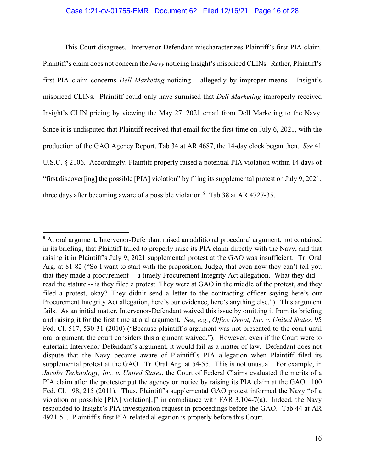## Case 1:21-cv-01755-EMR Document 62 Filed 12/16/21 Page 16 of 28

This Court disagrees. Intervenor-Defendant mischaracterizes Plaintiff's first PIA claim. Plaintiff's claim does not concern the *Navy* noticing Insight's mispriced CLINs. Rather, Plaintiff's first PIA claim concerns *Dell Marketing* noticing – allegedly by improper means – Insight's mispriced CLINs. Plaintiff could only have surmised that *Dell Marketing* improperly received Insight's CLIN pricing by viewing the May 27, 2021 email from Dell Marketing to the Navy. Since it is undisputed that Plaintiff received that email for the first time on July 6, 2021, with the production of the GAO Agency Report, Tab 34 at AR 4687, the 14-day clock began then. *See* 41 U.S.C. § 2106. Accordingly, Plaintiff properly raised a potential PIA violation within 14 days of "first discover[ing] the possible [PIA] violation" by filing its supplemental protest on July 9, 2021, three days after becoming aware of a possible violation.<sup>[8](#page-15-0)</sup> Tab 38 at AR 4727-35.

<span id="page-15-0"></span><sup>&</sup>lt;sup>8</sup> At oral argument, Intervenor-Defendant raised an additional procedural argument, not contained in its briefing, that Plaintiff failed to properly raise its PIA claim directly with the Navy, and that raising it in Plaintiff's July 9, 2021 supplemental protest at the GAO was insufficient. Tr. Oral Arg. at 81-82 ("So I want to start with the proposition, Judge, that even now they can't tell you that they made a procurement -- a timely Procurement Integrity Act allegation. What they did - read the statute -- is they filed a protest. They were at GAO in the middle of the protest, and they filed a protest, okay? They didn't send a letter to the contracting officer saying here's our Procurement Integrity Act allegation, here's our evidence, here's anything else."). This argument fails. As an initial matter, Intervenor-Defendant waived this issue by omitting it from its briefing and raising it for the first time at oral argument. *See, e.g.*, *Office Depot, Inc. v. United States*, 95 Fed. Cl. 517, 530-31 (2010) ("Because plaintiff's argument was not presented to the court until oral argument, the court considers this argument waived."). However, even if the Court were to entertain Intervenor-Defendant's argument, it would fail as a matter of law. Defendant does not dispute that the Navy became aware of Plaintiff's PIA allegation when Plaintiff filed its supplemental protest at the GAO. Tr. Oral Arg. at 54-55. This is not unusual. For example, in *Jacobs Technology, Inc. v. United States*, the Court of Federal Claims evaluated the merits of a PIA claim after the protester put the agency on notice by raising its PIA claim at the GAO. 100 Fed. Cl. 198, 215 (2011). Thus, Plaintiff's supplemental GAO protest informed the Navy "of a violation or possible [PIA] violation[,]" in compliance with FAR 3.104-7(a). Indeed, the Navy responded to Insight's PIA investigation request in proceedings before the GAO. Tab 44 at AR 4921-51. Plaintiff's first PIA-related allegation is properly before this Court.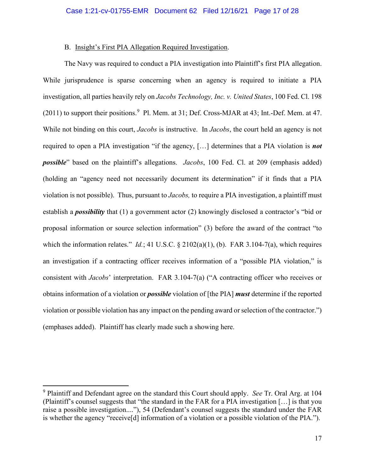## B. Insight's First PIA Allegation Required Investigation.

The Navy was required to conduct a PIA investigation into Plaintiff's first PIA allegation. While jurisprudence is sparse concerning when an agency is required to initiate a PIA investigation, all parties heavily rely on *Jacobs Technology, Inc. v. United States*, 100 Fed. Cl. 198 (2011) to support their positions.<sup>[9](#page-16-0)</sup> Pl. Mem. at 31; Def. Cross-MJAR at 43; Int.-Def. Mem. at 47. While not binding on this court, *Jacobs* is instructive. In *Jacobs*, the court held an agency is not required to open a PIA investigation "if the agency, […] determines that a PIA violation is *not possible*" based on the plaintiff's allegations. *Jacobs*, 100 Fed. Cl. at 209 (emphasis added) (holding an "agency need not necessarily document its determination" if it finds that a PIA violation is not possible). Thus, pursuant to *Jacobs,* to require a PIA investigation, a plaintiff must establish a *possibility* that (1) a government actor (2) knowingly disclosed a contractor's "bid or proposal information or source selection information" (3) before the award of the contract "to which the information relates." *Id.*; 41 U.S.C. § 2102(a)(1), (b). FAR 3.104-7(a), which requires an investigation if a contracting officer receives information of a "possible PIA violation," is consistent with *Jacobs*' interpretation. FAR 3.104-7(a) ("A contracting officer who receives or obtains information of a violation or *possible* violation of [the PIA] *must* determine if the reported violation or possible violation has any impact on the pending award or selection of the contractor.") (emphases added). Plaintiff has clearly made such a showing here.

<span id="page-16-0"></span><sup>9</sup> Plaintiff and Defendant agree on the standard this Court should apply. *See* Tr. Oral Arg. at 104 (Plaintiff's counsel suggests that "the standard in the FAR for a PIA investigation […] is that you raise a possible investigation...."), 54 (Defendant's counsel suggests the standard under the FAR is whether the agency "receive[d] information of a violation or a possible violation of the PIA.").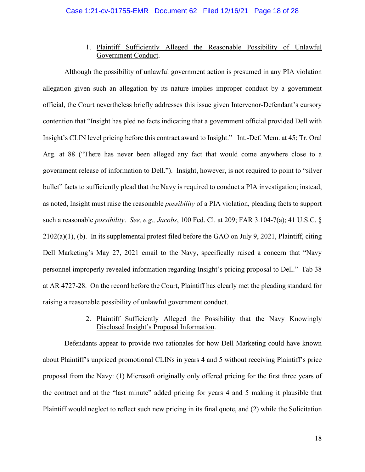# 1. Plaintiff Sufficiently Alleged the Reasonable Possibility of Unlawful Government Conduct.

Although the possibility of unlawful government action is presumed in any PIA violation allegation given such an allegation by its nature implies improper conduct by a government official, the Court nevertheless briefly addresses this issue given Intervenor-Defendant's cursory contention that "Insight has pled no facts indicating that a government official provided Dell with Insight's CLIN level pricing before this contract award to Insight." Int.-Def. Mem. at 45; Tr. Oral Arg. at 88 ("There has never been alleged any fact that would come anywhere close to a government release of information to Dell."). Insight, however, is not required to point to "silver bullet" facts to sufficiently plead that the Navy is required to conduct a PIA investigation; instead, as noted, Insight must raise the reasonable *possibility* of a PIA violation, pleading facts to support such a reasonable *possibility*. *See, e.g., Jacobs*, 100 Fed. Cl. at 209; FAR 3.104-7(a); 41 U.S.C. § 2102(a)(1), (b). In its supplemental protest filed before the GAO on July 9, 2021, Plaintiff, citing Dell Marketing's May 27, 2021 email to the Navy, specifically raised a concern that "Navy personnel improperly revealed information regarding Insight's pricing proposal to Dell." Tab 38 at AR 4727-28. On the record before the Court, Plaintiff has clearly met the pleading standard for raising a reasonable possibility of unlawful government conduct.

# 2. Plaintiff Sufficiently Alleged the Possibility that the Navy Knowingly Disclosed Insight's Proposal Information.

Defendants appear to provide two rationales for how Dell Marketing could have known about Plaintiff's unpriced promotional CLINs in years 4 and 5 without receiving Plaintiff's price proposal from the Navy: (1) Microsoft originally only offered pricing for the first three years of the contract and at the "last minute" added pricing for years 4 and 5 making it plausible that Plaintiff would neglect to reflect such new pricing in its final quote, and (2) while the Solicitation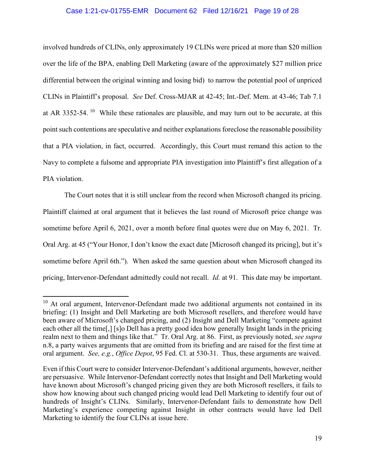## Case 1:21-cv-01755-EMR Document 62 Filed 12/16/21 Page 19 of 28

involved hundreds of CLINs, only approximately 19 CLINs were priced at more than \$20 million over the life of the BPA, enabling Dell Marketing (aware of the approximately \$27 million price differential between the original winning and losing bid) to narrow the potential pool of unpriced CLINs in Plaintiff's proposal. *See* Def. Cross-MJAR at 42-45; Int.-Def. Mem. at 43-46; Tab 7.1 at AR 3352-54. <sup>[10](#page-18-0)</sup> While these rationales are plausible, and may turn out to be accurate, at this point such contentions are speculative and neither explanations foreclose the reasonable possibility that a PIA violation, in fact, occurred. Accordingly, this Court must remand this action to the Navy to complete a fulsome and appropriate PIA investigation into Plaintiff's first allegation of a PIA violation.

The Court notes that it is still unclear from the record when Microsoft changed its pricing. Plaintiff claimed at oral argument that it believes the last round of Microsoft price change was sometime before April 6, 2021, over a month before final quotes were due on May 6, 2021. Tr. Oral Arg. at 45 ("Your Honor, I don't know the exact date [Microsoft changed its pricing], but it's sometime before April 6th."). When asked the same question about when Microsoft changed its pricing, Intervenor-Defendant admittedly could not recall. *Id.* at 91. This date may be important.

<span id="page-18-0"></span> $10$  At oral argument, Intervenor-Defendant made two additional arguments not contained in its briefing: (1) Insight and Dell Marketing are both Microsoft resellers, and therefore would have been aware of Microsoft's changed pricing, and (2) Insight and Dell Marketing "compete against each other all the time[,] [s]o Dell has a pretty good idea how generally Insight lands in the pricing realm next to them and things like that." Tr. Oral Arg. at 86. First, as previously noted, *see supra* n.8, a party waives arguments that are omitted from its briefing and are raised for the first time at oral argument. *See, e.g.*, *Office Depot*, 95 Fed. Cl. at 530-31. Thus, these arguments are waived.

Even if this Court were to consider Intervenor-Defendant's additional arguments, however, neither are persuasive. While Intervenor-Defendant correctly notes that Insight and Dell Marketing would have known about Microsoft's changed pricing given they are both Microsoft resellers, it fails to show how knowing about such changed pricing would lead Dell Marketing to identify four out of hundreds of Insight's CLINs. Similarly, Intervenor-Defendant fails to demonstrate how Dell Marketing's experience competing against Insight in other contracts would have led Dell Marketing to identify the four CLINs at issue here.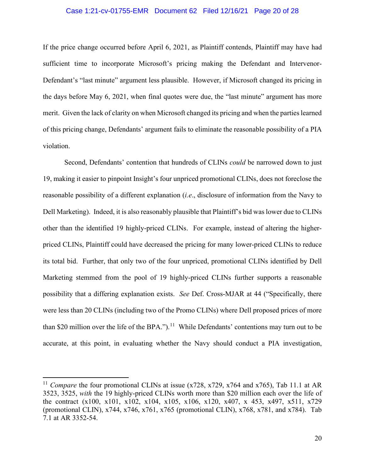## Case 1:21-cv-01755-EMR Document 62 Filed 12/16/21 Page 20 of 28

If the price change occurred before April 6, 2021, as Plaintiff contends, Plaintiff may have had sufficient time to incorporate Microsoft's pricing making the Defendant and Intervenor-Defendant's "last minute" argument less plausible. However, if Microsoft changed its pricing in the days before May 6, 2021, when final quotes were due, the "last minute" argument has more merit. Given the lack of clarity on when Microsoft changed its pricing and when the parties learned of this pricing change, Defendants' argument fails to eliminate the reasonable possibility of a PIA violation.

Second, Defendants' contention that hundreds of CLINs *could* be narrowed down to just 19, making it easier to pinpoint Insight's four unpriced promotional CLINs, does not foreclose the reasonable possibility of a different explanation (*i.e*., disclosure of information from the Navy to Dell Marketing). Indeed, it is also reasonably plausible that Plaintiff's bid was lower due to CLINs other than the identified 19 highly-priced CLINs. For example, instead of altering the higherpriced CLINs, Plaintiff could have decreased the pricing for many lower-priced CLINs to reduce its total bid. Further, that only two of the four unpriced, promotional CLINs identified by Dell Marketing stemmed from the pool of 19 highly-priced CLINs further supports a reasonable possibility that a differing explanation exists. *See* Def. Cross-MJAR at 44 ("Specifically, there were less than 20 CLINs (including two of the Promo CLINs) where Dell proposed prices of more than \$20 million over the life of the BPA.").<sup>11</sup> While Defendants' contentions may turn out to be accurate, at this point, in evaluating whether the Navy should conduct a PIA investigation,

<span id="page-19-0"></span><sup>&</sup>lt;sup>11</sup> *Compare* the four promotional CLINs at issue (x728, x729, x764 and x765), Tab 11.1 at AR 3523, 3525, *with* the 19 highly-priced CLINs worth more than \$20 million each over the life of the contract (x100, x101, x102, x104, x105, x106, x120, x407, x 453, x497, x511, x729 (promotional CLIN), x744, x746, x761, x765 (promotional CLIN), x768, x781, and x784). Tab 7.1 at AR 3352-54.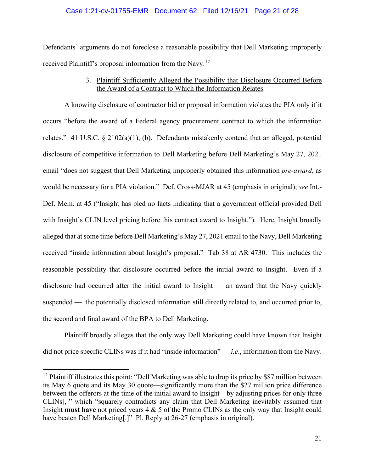## Case 1:21-cv-01755-EMR Document 62 Filed 12/16/21 Page 21 of 28

Defendants' arguments do not foreclose a reasonable possibility that Dell Marketing improperly received Plaintiff's proposal information from the Navy.<sup>[12](#page-20-0)</sup>

# 3. Plaintiff Sufficiently Alleged the Possibility that Disclosure Occurred Before the Award of a Contract to Which the Information Relates.

A knowing disclosure of contractor bid or proposal information violates the PIA only if it occurs "before the award of a Federal agency procurement contract to which the information relates." 41 U.S.C. § 2102(a)(1), (b). Defendants mistakenly contend that an alleged, potential disclosure of competitive information to Dell Marketing before Dell Marketing's May 27, 2021 email "does not suggest that Dell Marketing improperly obtained this information *pre-award*, as would be necessary for a PIA violation." Def. Cross-MJAR at 45 (emphasis in original); *see* Int.- Def. Mem. at 45 ("Insight has pled no facts indicating that a government official provided Dell with Insight's CLIN level pricing before this contract award to Insight."). Here, Insight broadly alleged that at some time before Dell Marketing's May 27, 2021 email to the Navy, Dell Marketing received "inside information about Insight's proposal." Tab 38 at AR 4730. This includes the reasonable possibility that disclosure occurred before the initial award to Insight. Even if a disclosure had occurred after the initial award to Insight — an award that the Navy quickly suspended — the potentially disclosed information still directly related to, and occurred prior to, the second and final award of the BPA to Dell Marketing.

Plaintiff broadly alleges that the only way Dell Marketing could have known that Insight did not price specific CLINs was if it had "inside information" — *i.e*., information from the Navy.

<span id="page-20-0"></span><sup>&</sup>lt;sup>12</sup> Plaintiff illustrates this point: "Dell Marketing was able to drop its price by \$87 million between its May 6 quote and its May 30 quote—significantly more than the \$27 million price difference between the offerors at the time of the initial award to Insight—by adjusting prices for only three CLINs[,]" which "squarely contradicts any claim that Dell Marketing inevitably assumed that Insight **must have** not priced years 4 & 5 of the Promo CLINs as the only way that Insight could have beaten Dell Marketing[.]" Pl. Reply at 26-27 (emphasis in original).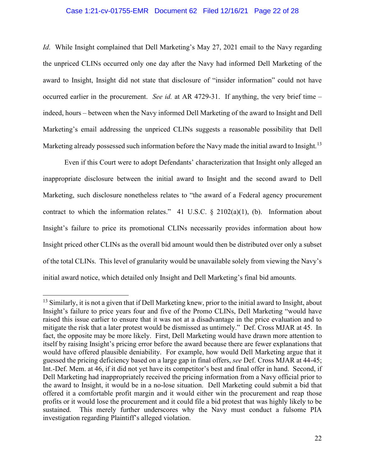## Case 1:21-cv-01755-EMR Document 62 Filed 12/16/21 Page 22 of 28

*Id.* While Insight complained that Dell Marketing's May 27, 2021 email to the Navy regarding the unpriced CLINs occurred only one day after the Navy had informed Dell Marketing of the award to Insight, Insight did not state that disclosure of "insider information" could not have occurred earlier in the procurement. *See id.* at AR 4729-31. If anything, the very brief time – indeed, hours – between when the Navy informed Dell Marketing of the award to Insight and Dell Marketing's email addressing the unpriced CLINs suggests a reasonable possibility that Dell Marketing already possessed such information before the Navy made the initial award to Insight.<sup>[13](#page-21-0)</sup>

Even if this Court were to adopt Defendants' characterization that Insight only alleged an inappropriate disclosure between the initial award to Insight and the second award to Dell Marketing, such disclosure nonetheless relates to "the award of a Federal agency procurement contract to which the information relates." 41 U.S.C.  $\S$  2102(a)(1), (b). Information about Insight's failure to price its promotional CLINs necessarily provides information about how Insight priced other CLINs as the overall bid amount would then be distributed over only a subset of the total CLINs. This level of granularity would be unavailable solely from viewing the Navy's initial award notice, which detailed only Insight and Dell Marketing's final bid amounts.

<span id="page-21-0"></span> $13$  Similarly, it is not a given that if Dell Marketing knew, prior to the initial award to Insight, about Insight's failure to price years four and five of the Promo CLINs, Dell Marketing "would have raised this issue earlier to ensure that it was not at a disadvantage in the price evaluation and to mitigate the risk that a later protest would be dismissed as untimely." Def. Cross MJAR at 45. In fact, the opposite may be more likely. First, Dell Marketing would have drawn more attention to itself by raising Insight's pricing error before the award because there are fewer explanations that would have offered plausible deniability. For example, how would Dell Marketing argue that it guessed the pricing deficiency based on a large gap in final offers, *see* Def. Cross MJAR at 44-45; Int.-Def. Mem. at 46, if it did not yet have its competitor's best and final offer in hand. Second, if Dell Marketing had inappropriately received the pricing information from a Navy official prior to the award to Insight, it would be in a no-lose situation. Dell Marketing could submit a bid that offered it a comfortable profit margin and it would either win the procurement and reap those profits or it would lose the procurement and it could file a bid protest that was highly likely to be sustained. This merely further underscores why the Navy must conduct a fulsome PIA investigation regarding Plaintiff's alleged violation.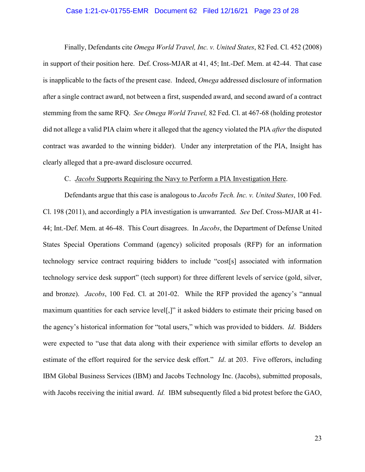## Case 1:21-cv-01755-EMR Document 62 Filed 12/16/21 Page 23 of 28

Finally, Defendants cite *Omega World Travel, Inc. v. United States*, 82 Fed. Cl. 452 (2008) in support of their position here. Def. Cross-MJAR at 41, 45; Int.-Def. Mem. at 42-44. That case is inapplicable to the facts of the present case. Indeed, *Omega* addressed disclosure of information after a single contract award, not between a first, suspended award, and second award of a contract stemming from the same RFQ. *See Omega World Travel,* 82 Fed. Cl. at 467-68 (holding protestor did not allege a valid PIA claim where it alleged that the agency violated the PIA *after* the disputed contract was awarded to the winning bidder). Under any interpretation of the PIA, Insight has clearly alleged that a pre-award disclosure occurred.

## C. *Jacobs* Supports Requiring the Navy to Perform a PIA Investigation Here.

Defendants argue that this case is analogous to *Jacobs Tech. Inc. v. United States*, 100 Fed. Cl. 198 (2011), and accordingly a PIA investigation is unwarranted. *See* Def. Cross-MJAR at 41- 44; Int.-Def. Mem. at 46-48. This Court disagrees. In *Jacobs*, the Department of Defense United States Special Operations Command (agency) solicited proposals (RFP) for an information technology service contract requiring bidders to include "cost[s] associated with information technology service desk support" (tech support) for three different levels of service (gold, silver, and bronze). *Jacobs*, 100 Fed. Cl. at 201-02. While the RFP provided the agency's "annual maximum quantities for each service level[,]" it asked bidders to estimate their pricing based on the agency's historical information for "total users," which was provided to bidders. *Id*. Bidders were expected to "use that data along with their experience with similar efforts to develop an estimate of the effort required for the service desk effort." *Id*. at 203. Five offerors, including IBM Global Business Services (IBM) and Jacobs Technology Inc. (Jacobs), submitted proposals, with Jacobs receiving the initial award. *Id.* IBM subsequently filed a bid protest before the GAO,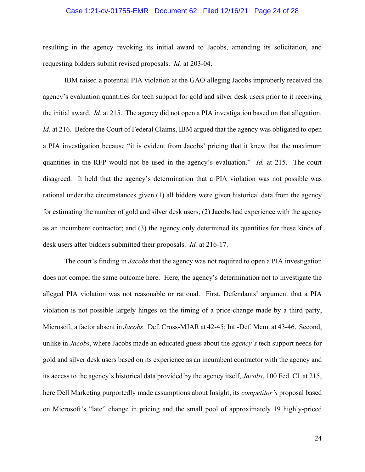## Case 1:21-cv-01755-EMR Document 62 Filed 12/16/21 Page 24 of 28

resulting in the agency revoking its initial award to Jacobs, amending its solicitation, and requesting bidders submit revised proposals. *Id.* at 203-04.

IBM raised a potential PIA violation at the GAO alleging Jacobs improperly received the agency's evaluation quantities for tech support for gold and silver desk users prior to it receiving the initial award. *Id.* at 215. The agency did not open a PIA investigation based on that allegation. *Id.* at 216. Before the Court of Federal Claims, IBM argued that the agency was obligated to open a PIA investigation because "it is evident from Jacobs' pricing that it knew that the maximum quantities in the RFP would not be used in the agency's evaluation." *Id.* at 215. The court disagreed. It held that the agency's determination that a PIA violation was not possible was rational under the circumstances given (1) all bidders were given historical data from the agency for estimating the number of gold and silver desk users; (2) Jacobs had experience with the agency as an incumbent contractor; and (3) the agency only determined its quantities for these kinds of desk users after bidders submitted their proposals. *Id.* at 216-17.

The court's finding in *Jacobs* that the agency was not required to open a PIA investigation does not compel the same outcome here. Here, the agency's determination not to investigate the alleged PIA violation was not reasonable or rational. First, Defendants' argument that a PIA violation is not possible largely hinges on the timing of a price-change made by a third party, Microsoft, a factor absent in *Jacobs*. Def. Cross-MJAR at 42-45; Int.-Def. Mem. at 43-46. Second, unlike in *Jacobs*, where Jacobs made an educated guess about the *agency's* tech support needs for gold and silver desk users based on its experience as an incumbent contractor with the agency and its access to the agency's historical data provided by the agency itself, *Jacobs*, 100 Fed. Cl. at 215, here Dell Marketing purportedly made assumptions about Insight, its *competitor's* proposal based on Microsoft's "late" change in pricing and the small pool of approximately 19 highly-priced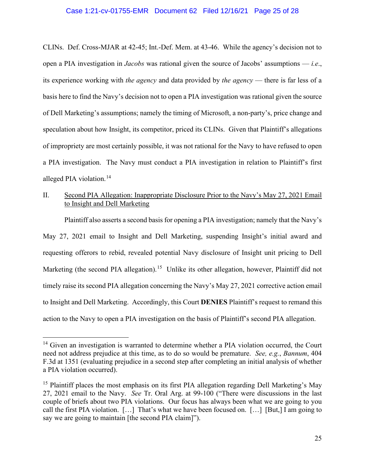## Case 1:21-cv-01755-EMR Document 62 Filed 12/16/21 Page 25 of 28

CLINs. Def. Cross-MJAR at 42-45; Int.-Def. Mem. at 43-46. While the agency's decision not to open a PIA investigation in *Jacobs* was rational given the source of Jacobs' assumptions — *i.e*., its experience working with *the agency* and data provided by *the agency* — there is far less of a basis here to find the Navy's decision not to open a PIA investigation was rational given the source of Dell Marketing's assumptions; namely the timing of Microsoft, a non-party's, price change and speculation about how Insight, its competitor, priced its CLINs. Given that Plaintiff's allegations of impropriety are most certainly possible, it was not rational for the Navy to have refused to open a PIA investigation. The Navy must conduct a PIA investigation in relation to Plaintiff's first alleged PIA violation.<sup>[14](#page-24-0)</sup>

## II. Second PIA Allegation: Inappropriate Disclosure Prior to the Navy's May 27, 2021 Email to Insight and Dell Marketing

Plaintiff also asserts a second basis for opening a PIA investigation; namely that the Navy's May 27, 2021 email to Insight and Dell Marketing, suspending Insight's initial award and requesting offerors to rebid, revealed potential Navy disclosure of Insight unit pricing to Dell Marketing (the second PIA allegation).<sup>15</sup> Unlike its other allegation, however, Plaintiff did not timely raise its second PIA allegation concerning the Navy's May 27, 2021 corrective action email to Insight and Dell Marketing. Accordingly, this Court **DENIES** Plaintiff's request to remand this action to the Navy to open a PIA investigation on the basis of Plaintiff's second PIA allegation.

<span id="page-24-0"></span><sup>&</sup>lt;sup>14</sup> Given an investigation is warranted to determine whether a PIA violation occurred, the Court need not address prejudice at this time, as to do so would be premature. *See, e.g.*, *Bannum*, 404 F.3d at 1351 (evaluating prejudice in a second step after completing an initial analysis of whether a PIA violation occurred).

<span id="page-24-1"></span><sup>&</sup>lt;sup>15</sup> Plaintiff places the most emphasis on its first PIA allegation regarding Dell Marketing's May 27, 2021 email to the Navy. *See* Tr. Oral Arg. at 99-100 ("There were discussions in the last couple of briefs about two PIA violations. Our focus has always been what we are going to you call the first PIA violation. […] That's what we have been focused on. […] [But,] I am going to say we are going to maintain [the second PIA claim]").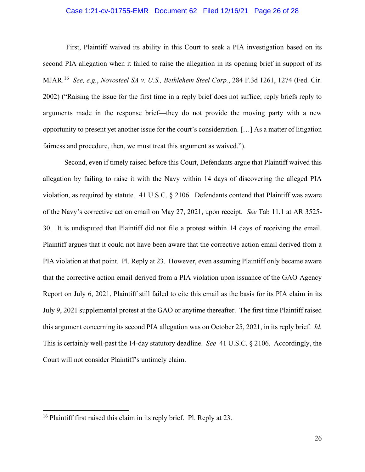## Case 1:21-cv-01755-EMR Document 62 Filed 12/16/21 Page 26 of 28

First, Plaintiff waived its ability in this Court to seek a PIA investigation based on its second PIA allegation when it failed to raise the allegation in its opening brief in support of its MJAR.[16](#page-25-0) *See, e.g.*, *Novosteel SA v. U.S., Bethlehem Steel Corp.*, 284 F.3d 1261, 1274 (Fed. Cir. 2002) ("Raising the issue for the first time in a reply brief does not suffice; reply briefs reply to arguments made in the response brief—they do not provide the moving party with a new opportunity to present yet another issue for the court's consideration. […] As a matter of litigation fairness and procedure, then, we must treat this argument as waived.").

Second, even if timely raised before this Court, Defendants argue that Plaintiff waived this allegation by failing to raise it with the Navy within 14 days of discovering the alleged PIA violation, as required by statute. 41 U.S.C. § 2106. Defendants contend that Plaintiff was aware of the Navy's corrective action email on May 27, 2021, upon receipt. *See* Tab 11.1 at AR 3525- 30. It is undisputed that Plaintiff did not file a protest within 14 days of receiving the email. Plaintiff argues that it could not have been aware that the corrective action email derived from a PIA violation at that point. Pl. Reply at 23. However, even assuming Plaintiff only became aware that the corrective action email derived from a PIA violation upon issuance of the GAO Agency Report on July 6, 2021, Plaintiff still failed to cite this email as the basis for its PIA claim in its July 9, 2021 supplemental protest at the GAO or anytime thereafter. The first time Plaintiff raised this argument concerning its second PIA allegation was on October 25, 2021, in its reply brief. *Id.* This is certainly well-past the 14-day statutory deadline. *See* 41 U.S.C. § 2106. Accordingly, the Court will not consider Plaintiff's untimely claim.

<span id="page-25-0"></span><sup>&</sup>lt;sup>16</sup> Plaintiff first raised this claim in its reply brief. Pl. Reply at 23.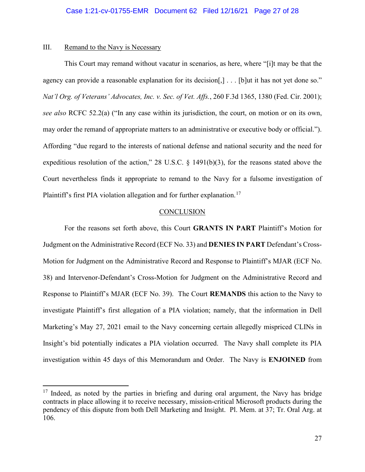## III. Remand to the Navy is Necessary

This Court may remand without vacatur in scenarios, as here, where "[i]t may be that the agency can provide a reasonable explanation for its decision[,] . . . [b]ut it has not yet done so." *Nat'l Org. of Veterans' Advocates, Inc. v. Sec. of Vet. Affs.*, 260 F.3d 1365, 1380 (Fed. Cir. 2001); *see also* RCFC 52.2(a) ("In any case within its jurisdiction, the court, on motion or on its own, may order the remand of appropriate matters to an administrative or executive body or official."). Affording "due regard to the interests of national defense and national security and the need for expeditious resolution of the action," 28 U.S.C. § 1491(b)(3), for the reasons stated above the Court nevertheless finds it appropriate to remand to the Navy for a fulsome investigation of Plaintiff's first PIA violation allegation and for further explanation.<sup>[17](#page-26-0)</sup>

## **CONCLUSION**

For the reasons set forth above, this Court **GRANTS IN PART** Plaintiff's Motion for Judgment on the Administrative Record (ECF No. 33) and **DENIES IN PART** Defendant's Cross-Motion for Judgment on the Administrative Record and Response to Plaintiff's MJAR (ECF No. 38) and Intervenor-Defendant's Cross-Motion for Judgment on the Administrative Record and Response to Plaintiff's MJAR (ECF No. 39). The Court **REMANDS** this action to the Navy to investigate Plaintiff's first allegation of a PIA violation; namely, that the information in Dell Marketing's May 27, 2021 email to the Navy concerning certain allegedly mispriced CLINs in Insight's bid potentially indicates a PIA violation occurred. The Navy shall complete its PIA investigation within 45 days of this Memorandum and Order. The Navy is **ENJOINED** from

<span id="page-26-0"></span> $17$  Indeed, as noted by the parties in briefing and during oral argument, the Navy has bridge contracts in place allowing it to receive necessary, mission-critical Microsoft products during the pendency of this dispute from both Dell Marketing and Insight. Pl. Mem. at 37; Tr. Oral Arg. at 106.